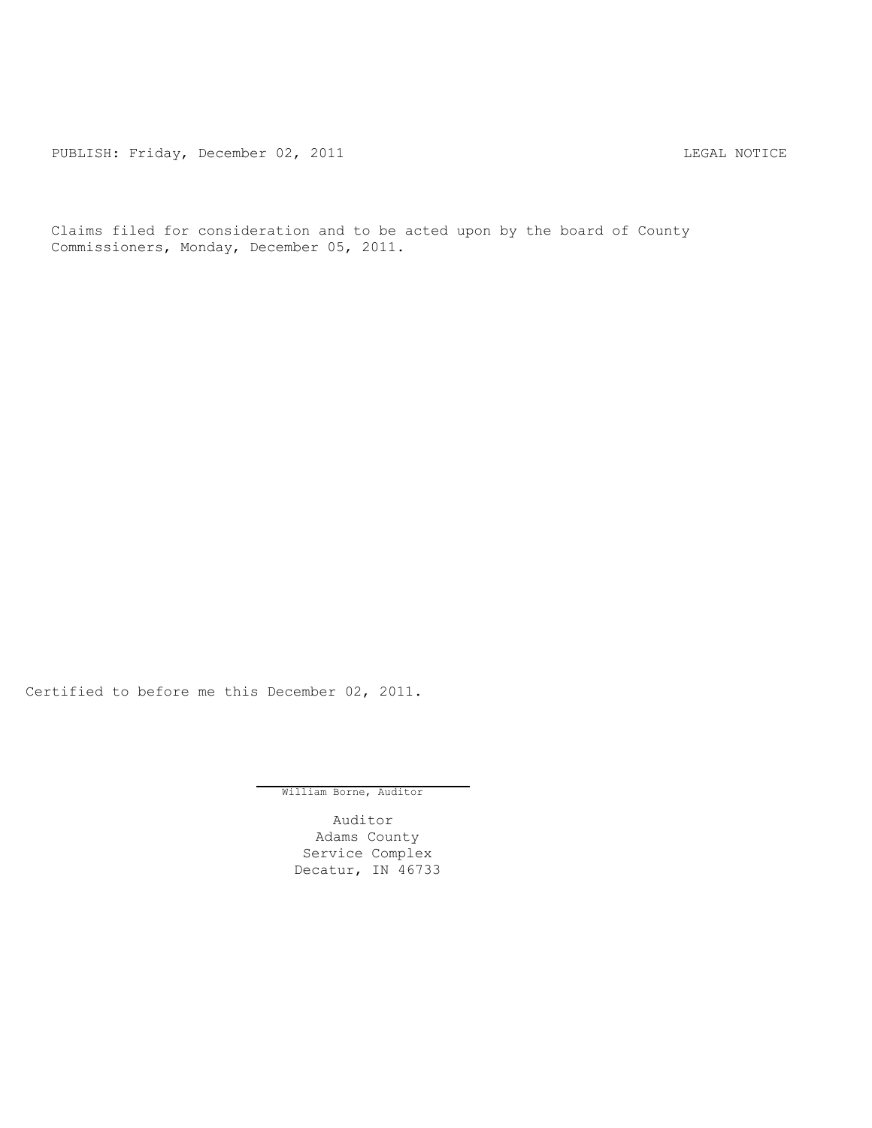PUBLISH: Friday, December 02, 2011 CHA CONTROL CONTROLLING MOTICE

Claims filed for consideration and to be acted upon by the board of County Commissioners, Monday, December 05, 2011.

Certified to before me this December 02, 2011.

William Borne, Auditor

Auditor Adams County Service Complex Decatur, IN 46733